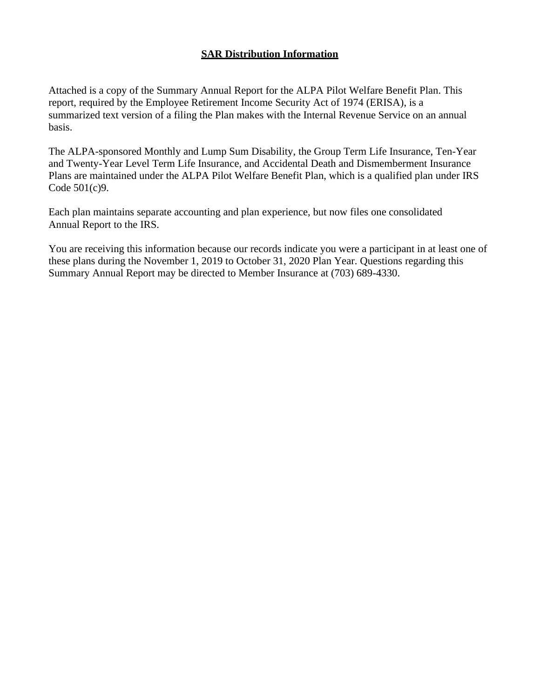# **SAR Distribution Information**

Attached is a copy of the Summary Annual Report for the ALPA Pilot Welfare Benefit Plan. This report, required by the Employee Retirement Income Security Act of 1974 (ERISA), is a summarized text version of a filing the Plan makes with the Internal Revenue Service on an annual basis.

The ALPA-sponsored Monthly and Lump Sum Disability, the Group Term Life Insurance, Ten-Year and Twenty-Year Level Term Life Insurance, and Accidental Death and Dismemberment Insurance Plans are maintained under the ALPA Pilot Welfare Benefit Plan, which is a qualified plan under IRS Code 501(c)9.

Each plan maintains separate accounting and plan experience, but now files one consolidated Annual Report to the IRS.

You are receiving this information because our records indicate you were a participant in at least one of these plans during the November 1, 2019 to October 31, 2020 Plan Year. Questions regarding this Summary Annual Report may be directed to Member Insurance at (703) 689-4330.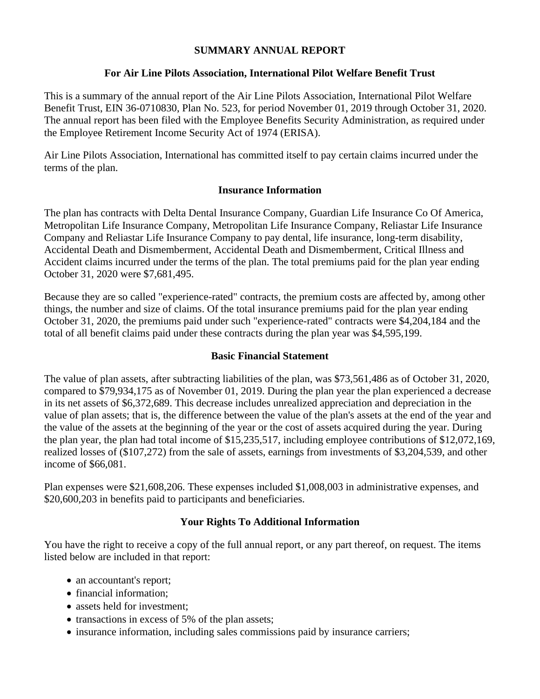### **SUMMARY ANNUAL REPORT**

### **For Air Line Pilots Association, International Pilot Welfare Benefit Trust**

This is a summary of the annual report of the Air Line Pilots Association, International Pilot Welfare Benefit Trust, EIN 36-0710830, Plan No. 523, for period November 01, 2019 through October 31, 2020. The annual report has been filed with the Employee Benefits Security Administration, as required under the Employee Retirement Income Security Act of 1974 (ERISA).

Air Line Pilots Association, International has committed itself to pay certain claims incurred under the terms of the plan.

### **Insurance Information**

The plan has contracts with Delta Dental Insurance Company, Guardian Life Insurance Co Of America, Metropolitan Life Insurance Company, Metropolitan Life Insurance Company, Reliastar Life Insurance Company and Reliastar Life Insurance Company to pay dental, life insurance, long-term disability, Accidental Death and Dismemberment, Accidental Death and Dismemberment, Critical Illness and Accident claims incurred under the terms of the plan. The total premiums paid for the plan year ending October 31, 2020 were \$7,681,495.

Because they are so called "experience-rated" contracts, the premium costs are affected by, among other things, the number and size of claims. Of the total insurance premiums paid for the plan year ending October 31, 2020, the premiums paid under such "experience-rated" contracts were \$4,204,184 and the total of all benefit claims paid under these contracts during the plan year was \$4,595,199.

#### **Basic Financial Statement**

The value of plan assets, after subtracting liabilities of the plan, was \$73,561,486 as of October 31, 2020, compared to \$79,934,175 as of November 01, 2019. During the plan year the plan experienced a decrease in its net assets of \$6,372,689. This decrease includes unrealized appreciation and depreciation in the value of plan assets; that is, the difference between the value of the plan's assets at the end of the year and the value of the assets at the beginning of the year or the cost of assets acquired during the year. During the plan year, the plan had total income of \$15,235,517, including employee contributions of \$12,072,169, realized losses of (\$107,272) from the sale of assets, earnings from investments of \$3,204,539, and other income of \$66,081.

Plan expenses were \$21,608,206. These expenses included \$1,008,003 in administrative expenses, and \$20,600,203 in benefits paid to participants and beneficiaries.

## **Your Rights To Additional Information**

You have the right to receive a copy of the full annual report, or any part thereof, on request. The items listed below are included in that report:

- an accountant's report;
- financial information;
- assets held for investment;
- transactions in excess of 5% of the plan assets;
- insurance information, including sales commissions paid by insurance carriers;